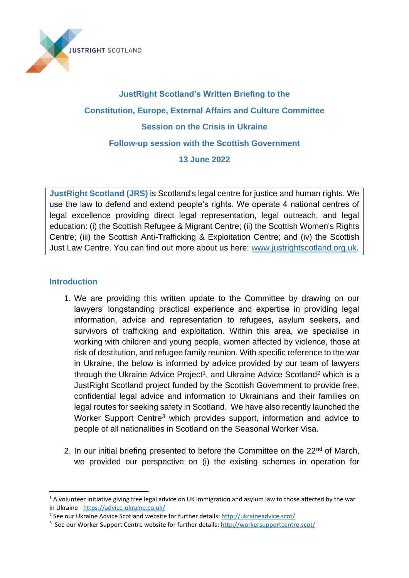

# **JustRight Scotland's Written Briefing to the Constitution, Europe, External Affairs and Culture Committee Session on the Crisis in Ukraine Follow-up session with the Scottish Government 13 June 2022**

**JustRight Scotland (JRS)** is Scotland's legal centre for justice and human rights. We use the law to defend and extend people's rights. We operate 4 national centres of legal excellence providing direct legal representation, legal outreach, and legal education: (i) the Scottish Refugee & Migrant Centre; (ii) the Scottish Women's Rights Centre; (iii) the Scottish Anti-Trafficking & Exploitation Centre; and (iv) the Scottish Just Law Centre. You can find out more about us here: [www.justrightscotland.org.uk.](http://www.justrightscotland.org.uk/)

#### **Introduction**

- 1. We are providing this written update to the Committee by drawing on our lawyers' longstanding practical experience and expertise in providing legal information, advice and representation to refugees, asylum seekers, and survivors of trafficking and exploitation. Within this area, we specialise in working with children and young people, women affected by violence, those at risk of destitution, and refugee family reunion. With specific reference to the war in Ukraine, the below is informed by advice provided by our team of lawyers through the Ukraine Advice Project<sup>1</sup>, and Ukraine Advice Scotland<sup>2</sup> which is a JustRight Scotland project funded by the Scottish Government to provide free, confidential legal advice and information to Ukrainians and their families on legal routes for seeking safety in Scotland. We have also recently launched the Worker Support Centre<sup>3</sup> which provides support, information and advice to people of all nationalities in Scotland on the Seasonal Worker Visa.
- 2. In our initial briefing presented to before the Committee on the  $22<sup>nd</sup>$  of March, we provided our perspective on (i) the existing schemes in operation for

<sup>&</sup>lt;sup>1</sup> A volunteer initiative giving free legal advice on UK immigration and asylum law to those affected by the war in Ukraine - <https://advice-ukraine.co.uk/>

<sup>&</sup>lt;sup>2</sup> See our Ukraine Advice Scotland website for further details[: http://ukraineadvice.scot/](http://ukraineadvice.scot/)

<sup>&</sup>lt;sup>3</sup> See our Worker Support Centre website for further details: <http://workersupportcentre.scot/>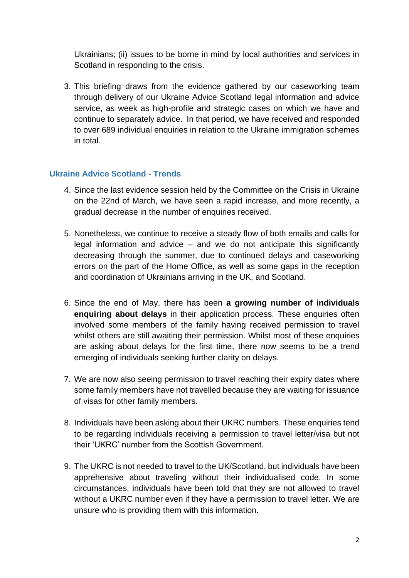Ukrainians; (ii) issues to be borne in mind by local authorities and services in Scotland in responding to the crisis.

3. This briefing draws from the evidence gathered by our caseworking team through delivery of our Ukraine Advice Scotland legal information and advice service, as week as high-profile and strategic cases on which we have and continue to separately advice. In that period, we have received and responded to over 689 individual enquiries in relation to the Ukraine immigration schemes in total.

#### **Ukraine Advice Scotland - Trends**

- 4. Since the last evidence session held by the Committee on the Crisis in Ukraine on the 22nd of March, we have seen a rapid increase, and more recently, a gradual decrease in the number of enquiries received.
- 5. Nonetheless, we continue to receive a steady flow of both emails and calls for legal information and advice – and we do not anticipate this significantly decreasing through the summer, due to continued delays and caseworking errors on the part of the Home Office, as well as some gaps in the reception and coordination of Ukrainians arriving in the UK, and Scotland.
- 6. Since the end of May, there has been **a growing number of individuals enquiring about delays** in their application process. These enquiries often involved some members of the family having received permission to travel whilst others are still awaiting their permission. Whilst most of these enquiries are asking about delays for the first time, there now seems to be a trend emerging of individuals seeking further clarity on delays.
- 7. We are now also seeing permission to travel reaching their expiry dates where some family members have not travelled because they are waiting for issuance of visas for other family members.
- 8. Individuals have been asking about their UKRC numbers. These enquiries tend to be regarding individuals receiving a permission to travel letter/visa but not their 'UKRC' number from the Scottish Government.
- 9. The UKRC is not needed to travel to the UK/Scotland, but individuals have been apprehensive about traveling without their individualised code. In some circumstances, individuals have been told that they are not allowed to travel without a UKRC number even if they have a permission to travel letter. We are unsure who is providing them with this information.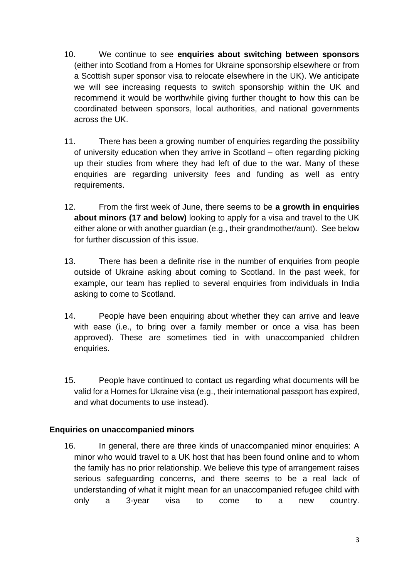- 10. We continue to see **enquiries about switching between sponsors** (either into Scotland from a Homes for Ukraine sponsorship elsewhere or from a Scottish super sponsor visa to relocate elsewhere in the UK). We anticipate we will see increasing requests to switch sponsorship within the UK and recommend it would be worthwhile giving further thought to how this can be coordinated between sponsors, local authorities, and national governments across the UK.
- 11. There has been a growing number of enquiries regarding the possibility of university education when they arrive in Scotland – often regarding picking up their studies from where they had left of due to the war. Many of these enquiries are regarding university fees and funding as well as entry requirements.
- 12. From the first week of June, there seems to be **a growth in enquiries about minors (17 and below)** looking to apply for a visa and travel to the UK either alone or with another guardian (e.g., their grandmother/aunt). See below for further discussion of this issue.
- 13. There has been a definite rise in the number of enquiries from people outside of Ukraine asking about coming to Scotland. In the past week, for example, our team has replied to several enquiries from individuals in India asking to come to Scotland.
- 14. People have been enquiring about whether they can arrive and leave with ease (i.e., to bring over a family member or once a visa has been approved). These are sometimes tied in with unaccompanied children enquiries.
- 15. People have continued to contact us regarding what documents will be valid for a Homes for Ukraine visa (e.g., their international passport has expired, and what documents to use instead).

### **Enquiries on unaccompanied minors**

16. In general, there are three kinds of unaccompanied minor enquiries: A minor who would travel to a UK host that has been found online and to whom the family has no prior relationship. We believe this type of arrangement raises serious safeguarding concerns, and there seems to be a real lack of understanding of what it might mean for an unaccompanied refugee child with only a 3-year visa to come to a new country.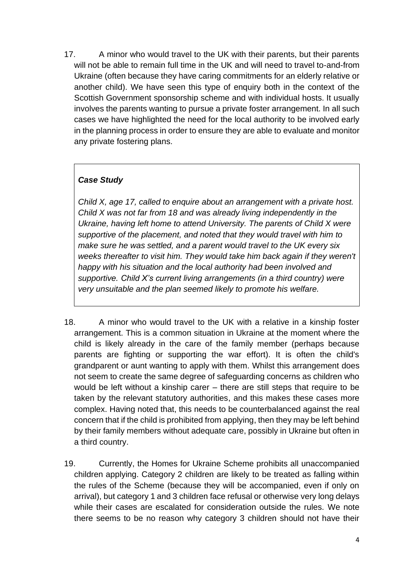17. A minor who would travel to the UK with their parents, but their parents will not be able to remain full time in the UK and will need to travel to-and-from Ukraine (often because they have caring commitments for an elderly relative or another child). We have seen this type of enquiry both in the context of the Scottish Government sponsorship scheme and with individual hosts. It usually involves the parents wanting to pursue a private foster arrangement. In all such cases we have highlighted the need for the local authority to be involved early in the planning process in order to ensure they are able to evaluate and monitor any private fostering plans.

## *Case Study*

*Child X, age 17, called to enquire about an arrangement with a private host. Child X was not far from 18 and was already living independently in the Ukraine, having left home to attend University. The parents of Child X were supportive of the placement, and noted that they would travel with him to make sure he was settled, and a parent would travel to the UK every six weeks thereafter to visit him. They would take him back again if they weren't happy with his situation and the local authority had been involved and supportive. Child X's current living arrangements (in a third country) were very unsuitable and the plan seemed likely to promote his welfare.*

- 18. A minor who would travel to the UK with a relative in a kinship foster arrangement. This is a common situation in Ukraine at the moment where the child is likely already in the care of the family member (perhaps because parents are fighting or supporting the war effort). It is often the child's grandparent or aunt wanting to apply with them. Whilst this arrangement does not seem to create the same degree of safeguarding concerns as children who would be left without a kinship carer – there are still steps that require to be taken by the relevant statutory authorities, and this makes these cases more complex. Having noted that, this needs to be counterbalanced against the real concern that if the child is prohibited from applying, then they may be left behind by their family members without adequate care, possibly in Ukraine but often in a third country.
- 19. Currently, the Homes for Ukraine Scheme prohibits all unaccompanied children applying. Category 2 children are likely to be treated as falling within the rules of the Scheme (because they will be accompanied, even if only on arrival), but category 1 and 3 children face refusal or otherwise very long delays while their cases are escalated for consideration outside the rules. We note there seems to be no reason why category 3 children should not have their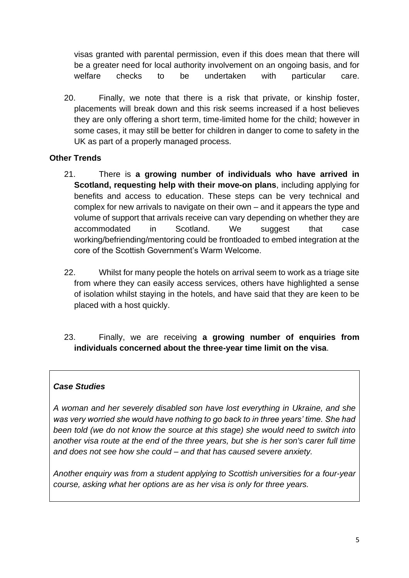visas granted with parental permission, even if this does mean that there will be a greater need for local authority involvement on an ongoing basis, and for welfare checks to be undertaken with particular care.

20. Finally, we note that there is a risk that private, or kinship foster, placements will break down and this risk seems increased if a host believes they are only offering a short term, time-limited home for the child; however in some cases, it may still be better for children in danger to come to safety in the UK as part of a properly managed process.

## **Other Trends**

- 21. There is **a growing number of individuals who have arrived in Scotland, requesting help with their move-on plans**, including applying for benefits and access to education. These steps can be very technical and complex for new arrivals to navigate on their own – and it appears the type and volume of support that arrivals receive can vary depending on whether they are accommodated in Scotland. We suggest that case working/befriending/mentoring could be frontloaded to embed integration at the core of the Scottish Government's Warm Welcome.
- 22. Whilst for many people the hotels on arrival seem to work as a triage site from where they can easily access services, others have highlighted a sense of isolation whilst staying in the hotels, and have said that they are keen to be placed with a host quickly.
- 23. Finally, we are receiving **a growing number of enquiries from individuals concerned about the three-year time limit on the visa**.

### *Case Studies*

*A woman and her severely disabled son have lost everything in Ukraine, and she was very worried she would have nothing to go back to in three years' time. She had been told (we do not know the source at this stage) she would need to switch into another visa route at the end of the three years, but she is her son's carer full time and does not see how she could – and that has caused severe anxiety.* 

*Another enquiry was from a student applying to Scottish universities for a four-year course, asking what her options are as her visa is only for three years.*